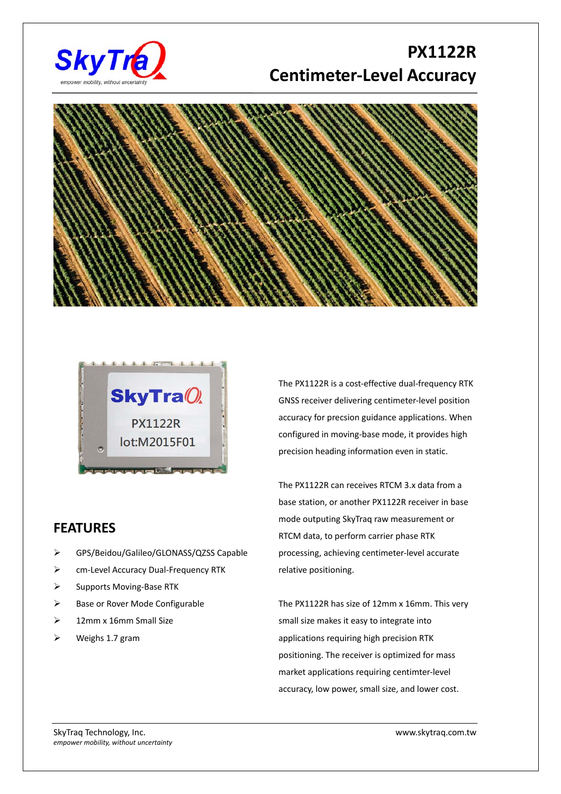

## **PX1122R Centimeter‐Level Accuracy**





## **FEATURES**

- GPS/Beidou/Galileo/GLONASS/QZSS Capable
- cm‐Level Accuracy Dual‐Frequency RTK
- Supports Moving‐Base RTK
- $\triangleright$  Base or Rover Mode Configurable
- $\geq$  12mm x 16mm Small Size
- Weighs 1.7 gram

The PX1122R is a cost‐effective dual‐frequency RTK GNSS receiver delivering centimeter‐level position accuracy for precsion guidance applications. When configured in moving‐base mode, it provides high precision heading information even in static.

The PX1122R can receives RTCM 3.x data from a base station, or another PX1122R receiver in base mode outputing SkyTraq raw measurement or RTCM data, to perform carrier phase RTK processing, achieving centimeter‐level accurate relative positioning.

The PX1122R has size of 12mm x 16mm. This very small size makes it easy to integrate into applications requiring high precision RTK positioning. The receiver is optimized for mass market applications requiring centimter‐level accuracy, low power, small size, and lower cost.